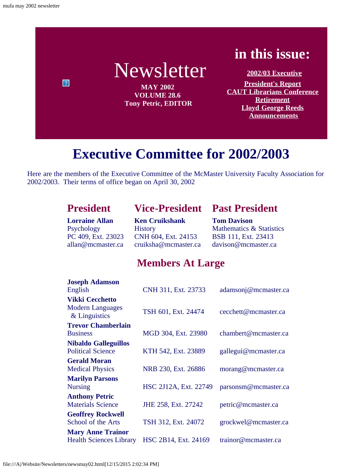

# **Executive Committee for 2002/2003**

<span id="page-0-0"></span>Here are the members of the Executive Committee of the McMaster University Faculty Association for 2002/2003. Their terms of office began on April 30, 2002

### **President Vice-President Past President**

**Lorraine Allan** Psychology PC 409, Ext. 23023 allan@mcmaster.ca

**Ken Cruikshank History** CNH 604, Ext. 24153 cruiksha@mcmaster.ca **Tom Davison** Mathematics & Statistics BSB 111, Ext. 23413 davison@mcmaster.ca

### **Members At Large**

| <b>Joseph Adamson</b>                    |                       |                      |
|------------------------------------------|-----------------------|----------------------|
| English                                  | CNH 311, Ext. 23733   | adamsonj@mcmaster.ca |
| <b>Vikki Cecchetto</b>                   |                       |                      |
| <b>Modern Languages</b><br>& Linguistics | TSH 601, Ext. 24474   | cecchett@mcmaster.ca |
| <b>Trevor Chamberlain</b>                |                       |                      |
| <b>Business</b>                          | MGD 304, Ext. 23980   | chambert@mcmaster.ca |
| <b>Nibaldo Galleguillos</b>              |                       |                      |
| <b>Political Science</b>                 | KTH 542, Ext. 23889   | gallegui@mcmaster.ca |
| <b>Gerald Moran</b>                      |                       |                      |
| <b>Medical Physics</b>                   | NRB 230, Ext. 26886   | morang@mcmaster.ca   |
| <b>Marilyn Parsons</b>                   |                       |                      |
| <b>Nursing</b>                           | HSC 2J12A, Ext. 22749 | parsonsm@mcmaster.ca |
| <b>Anthony Petric</b>                    |                       |                      |
| <b>Materials Science</b>                 | JHE 258, Ext. 27242   | petric@mcmaster.ca   |
| <b>Geoffrey Rockwell</b>                 |                       |                      |
| School of the Arts                       | TSH 312, Ext. 24072   | grockwel@mcmaster.ca |
| <b>Mary Anne Trainor</b>                 |                       |                      |
| <b>Health Sciences Library</b>           | HSC 2B14, Ext. 24169  | trainor@mcmaster.ca  |
|                                          |                       |                      |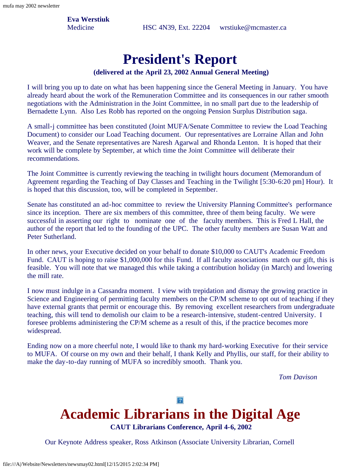**Eva Werstiuk**

Medicine HSC 4N39, Ext. 22204 wrstiuke@mcmaster.ca

### **President's Report**

#### **(delivered at the April 23, 2002 Annual General Meeting)**

<span id="page-1-0"></span>I will bring you up to date on what has been happening since the General Meeting in January. You have already heard about the work of the Remuneration Committee and its consequences in our rather smooth negotiations with the Administration in the Joint Committee, in no small part due to the leadership of Bernadette Lynn. Also Les Robb has reported on the ongoing Pension Surplus Distribution saga.

A small-j committee has been constituted (Joint MUFA/Senate Committee to review the Load Teaching Document) to consider our Load Teaching document. Our representatives are Lorraine Allan and John Weaver, and the Senate representatives are Naresh Agarwal and Rhonda Lenton. It is hoped that their work will be complete by September, at which time the Joint Committee will deliberate their recommendations.

The Joint Committee is currently reviewing the teaching in twilight hours document (Memorandum of Agreement regarding the Teaching of Day Classes and Teaching in the Twilight [5:30-6:20 pm] Hour). It is hoped that this discussion, too, will be completed in September.

Senate has constituted an ad-hoc committee to review the University Planning Committee's performance since its inception. There are six members of this committee, three of them being faculty. We were successful in asserting our right to nominate one of the faculty members. This is Fred L Hall, the author of the report that led to the founding of the UPC. The other faculty members are Susan Watt and Peter Sutherland.

In other news, your Executive decided on your behalf to donate \$10,000 to CAUT's Academic Freedom Fund. CAUT is hoping to raise \$1,000,000 for this Fund. If all faculty associations match our gift, this is feasible. You will note that we managed this while taking a contribution holiday (in March) and lowering the mill rate.

I now must indulge in a Cassandra moment. I view with trepidation and dismay the growing practice in Science and Engineering of permitting faculty members on the CP/M scheme to opt out of teaching if they have external grants that permit or encourage this. By removing excellent researchers from undergraduate teaching, this will tend to demolish our claim to be a research-intensive, student-centred University. I foresee problems administering the CP/M scheme as a result of this, if the practice becomes more widespread.

Ending now on a more cheerful note, I would like to thank my hard-working Executive for their service to MUFA. Of course on my own and their behalf, I thank Kelly and Phyllis, our staff, for their ability to make the day-to-day running of MUFA so incredibly smooth. Thank you.

*Tom Davison*

# <span id="page-1-1"></span>**Academic Librarians in the Digital Age**

 $\overline{?}$ 

**CAUT Librarians Conference, April 4-6, 2002**

Our Keynote Address speaker, Ross Atkinson (Associate University Librarian, Cornell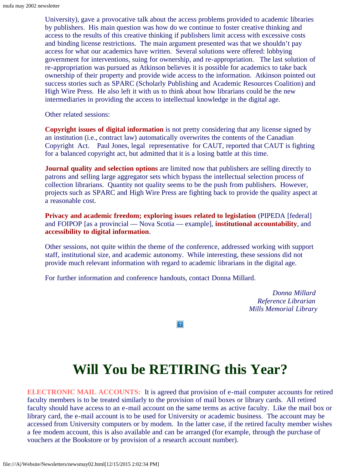University), gave a provocative talk about the access problems provided to academic libraries by publishers. His main question was how do we continue to foster creative thinking and access to the results of this creative thinking if publishers limit access with excessive costs and binding license restrictions. The main argument presented was that we shouldn't pay access for what our academics have written. Several solutions were offered: lobbying government for interventions, suing for ownership, and re-appropriation. The last solution of re-appropriation was pursued as Atkinson believes it is possible for academics to take back ownership of their property and provide wide access to the information. Atkinson pointed out success stories such as SPARC (Scholarly Publishing and Academic Resources Coalition) and High Wire Press. He also left it with us to think about how librarians could be the new intermediaries in providing the access to intellectual knowledge in the digital age.

Other related sessions:

**Copyright issues of digital information** is not pretty considering that any license signed by an institution (i.e., contract law) automatically overwrites the contents of the Canadian Copyright Act. Paul Jones, legal representative for CAUT, reported that CAUT is fighting for a balanced copyright act, but admitted that it is a losing battle at this time.

**Journal quality and selection options** are limited now that publishers are selling directly to patrons and selling large aggregator sets which bypass the intellectual selection process of collection librarians. Quantity not quality seems to be the push from publishers. However, projects such as SPARC and High Wire Press are fighting back to provide the quality aspect at a reasonable cost.

**Privacy and academic freedom; exploring issues related to legislation** (PIPEDA [federal] and FOIPOP [as a provincial — Nova Scotia — example], **institutional accountability**, and **accessibility to digital information**.

Other sessions, not quite within the theme of the conference, addressed working with support staff, institutional size, and academic autonomy. While interesting, these sessions did not provide much relevant information with regard to academic librarians in the digital age.

For further information and conference handouts, contact Donna Millard.

*Donna Millard Reference Librarian Mills Memorial Library*

## **Will You be RETIRING this Year?**

 $|2|$ 

<span id="page-2-0"></span>**ELECTRONIC MAIL ACCOUNTS:** It is agreed that provision of e-mail computer accounts for retired faculty members is to be treated similarly to the provision of mail boxes or library cards. All retired faculty should have access to an e-mail account on the same terms as active faculty. Like the mail box or library card, the e-mail account is to be used for University or academic business. The account may be accessed from University computers or by modem. In the latter case, if the retired faculty member wishes a fee modem account, this is also available and can be arranged (for example, through the purchase of vouchers at the Bookstore or by provision of a research account number).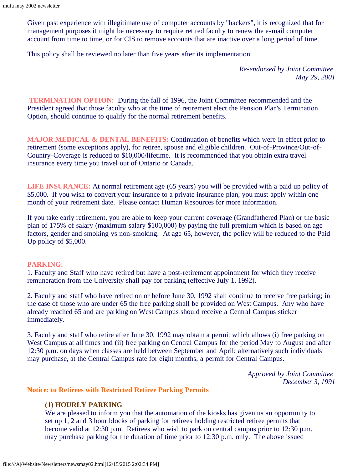Given past experience with illegitimate use of computer accounts by "hackers", it is recognized that for management purposes it might be necessary to require retired faculty to renew the e-mail computer account from time to time, or for CIS to remove accounts that are inactive over a long period of time.

This policy shall be reviewed no later than five years after its implementation.

*Re-endorsed by Joint Committee May 29, 2001*

**TERMINATION OPTION:** During the fall of 1996, the Joint Committee recommended and the President agreed that those faculty who at the time of retirement elect the Pension Plan's Termination Option, should continue to qualify for the normal retirement benefits.

**MAJOR MEDICAL & DENTAL BENEFITS:** Continuation of benefits which were in effect prior to retirement (some exceptions apply), for retiree, spouse and eligible children. Out-of-Province/Out-of-Country-Coverage is reduced to \$10,000/lifetime. It is recommended that you obtain extra travel insurance every time you travel out of Ontario or Canada.

**LIFE INSURANCE:** At normal retirement age (65 years) you will be provided with a paid up policy of \$5,000. If you wish to convert your insurance to a private insurance plan, you must apply within one month of your retirement date. Please contact Human Resources for more information.

If you take early retirement, you are able to keep your current coverage (Grandfathered Plan) or the basic plan of 175% of salary (maximum salary \$100,000) by paying the full premium which is based on age factors, gender and smoking vs non-smoking. At age 65, however, the policy will be reduced to the Paid Up policy of \$5,000.

#### **PARKING:**

1. Faculty and Staff who have retired but have a post-retirement appointment for which they receive remuneration from the University shall pay for parking (effective July 1, 1992).

2. Faculty and staff who have retired on or before June 30, 1992 shall continue to receive free parking; in the case of those who are under 65 the free parking shall be provided on West Campus. Any who have already reached 65 and are parking on West Campus should receive a Central Campus sticker immediately.

3. Faculty and staff who retire after June 30, 1992 may obtain a permit which allows (i) free parking on West Campus at all times and (ii) free parking on Central Campus for the period May to August and after 12:30 p.m. on days when classes are held between September and April; alternatively such individuals may purchase, at the Central Campus rate for eight months, a permit for Central Campus.

> *Approved by Joint Committee December 3, 1991*

#### **Notice: to Retirees with Restricted Retiree Parking Permits**

#### **(1) HOURLY PARKING**

We are pleased to inform you that the automation of the kiosks has given us an opportunity to set up 1, 2 and 3 hour blocks of parking for retirees holding restricted retiree permits that become valid at 12:30 p.m. Retirees who wish to park on central campus prior to 12:30 p.m. may purchase parking for the duration of time prior to 12:30 p.m. only. The above issued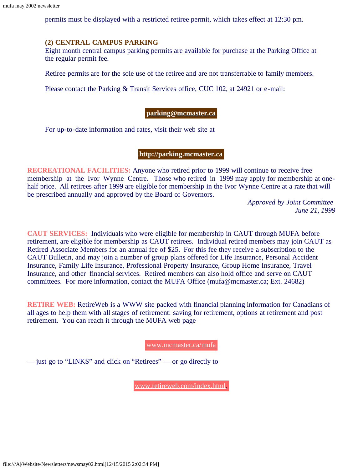permits must be displayed with a restricted retiree permit, which takes effect at 12:30 pm.

### **(2) CENTRAL CAMPUS PARKING**

Eight month central campus parking permits are available for purchase at the Parking Office at the regular permit fee.

Retiree permits are for the sole use of the retiree and are not transferrable to family members.

Please contact the Parking & Transit Services office, CUC 102, at 24921 or e-mail:

### **[parking@mcmaster.ca](mailto:parking@mcmaster.ca)**

For up-to-date information and rates, visit their web site at

#### **[http://parking.mcmaster.ca](http://parking.mcmaster.ca/)**

**RECREATIONAL FACILITIES:** Anyone who retired prior to 1999 will continue to receive free membership at the Ivor Wynne Centre. Those who retired in 1999 may apply for membership at onehalf price. All retirees after 1999 are eligible for membership in the Ivor Wynne Centre at a rate that will be prescribed annually and approved by the Board of Governors.

> *Approved by Joint Committee June 21, 1999*

**CAUT SERVICES:** Individuals who were eligible for membership in CAUT through MUFA before retirement, are eligible for membership as CAUT retirees. Individual retired members may join CAUT as Retired Associate Members for an annual fee of \$25. For this fee they receive a subscription to the CAUT Bulletin, and may join a number of group plans offered for Life Insurance, Personal Accident Insurance, Family Life Insurance, Professional Property Insurance, Group Home Insurance, Travel Insurance, and other financial services. Retired members can also hold office and serve on CAUT committees. For more information, contact the MUFA Office (mufa@mcmaster.ca; Ext. 24682)

**RETIRE WEB:** RetireWeb is a WWW site packed with financial planning information for Canadians of all ages to help them with all stages of retirement: saving for retirement, options at retirement and post retirement. You can reach it through the MUFA web page

[www.mcmaster.ca/mufa](http://www.mcmaster.ca/mufa)

— just go to "LINKS" and click on "Retirees" — or go directly to

[www.retireweb.com/index.html.](http://www.retireweb.com/index.html)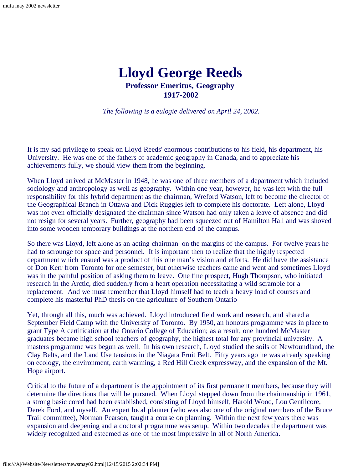### **Lloyd George Reeds Professor Emeritus, Geography 1917-2002**

*The following is a eulogie delivered on April 24, 2002.*

<span id="page-5-0"></span>It is my sad privilege to speak on Lloyd Reeds' enormous contributions to his field, his department, his University. He was one of the fathers of academic geography in Canada, and to appreciate his achievements fully, we should view them from the beginning.

When Lloyd arrived at McMaster in 1948, he was one of three members of a department which included sociology and anthropology as well as geography. Within one year, however, he was left with the full responsibility for this hybrid department as the chairman, Wreford Watson, left to become the director of the Geographical Branch in Ottawa and Dick Ruggles left to complete his doctorate. Left alone, Lloyd was not even officially designated the chairman since Watson had only taken a leave of absence and did not resign for several years. Further, geography had been squeezed out of Hamilton Hall and was shoved into some wooden temporary buildings at the northern end of the campus.

So there was Lloyd, left alone as an acting chairman on the margins of the campus. For twelve years he had to scrounge for space and personnel. It is important then to realize that the highly respected department which ensued was a product of this one man's vision and efforts. He did have the assistance of Don Kerr from Toronto for one semester, but otherwise teachers came and went and sometimes Lloyd was in the painful position of asking them to leave. One fine prospect, Hugh Thompson, who initiated research in the Arctic, died suddenly from a heart operation necessitating a wild scramble for a replacement. And we must remember that Lloyd himself had to teach a heavy load of courses and complete his masterful PhD thesis on the agriculture of Southern Ontario

Yet, through all this, much was achieved. Lloyd introduced field work and research, and shared a September Field Camp with the University of Toronto. By 1950, an honours programme was in place to grant Type A certification at the Ontario College of Education; as a result, one hundred McMaster graduates became high school teachers of geography, the highest total for any provincial university. A masters programme was begun as well. In his own research, Lloyd studied the soils of Newfoundland, the Clay Belts, and the Land Use tensions in the Niagara Fruit Belt. Fifty years ago he was already speaking on ecology, the environment, earth warming, a Red Hill Creek expressway, and the expansion of the Mt. Hope airport.

Critical to the future of a department is the appointment of its first permanent members, because they will determine the directions that will be pursued. When Lloyd stepped down from the chairmanship in 1961, a strong basic cored had been established, consisting of Lloyd himself, Harold Wood, Lou Gentilcore, Derek Ford, and myself. An expert local planner (who was also one of the original members of the Bruce Trail committee), Norman Pearson, taught a course on planning. Within the next few years there was expansion and deepening and a doctoral programme was setup. Within two decades the department was widely recognized and esteemed as one of the most impressive in all of North America.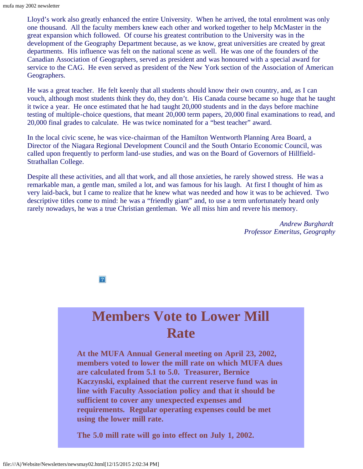Lloyd's work also greatly enhanced the entire University. When he arrived, the total enrolment was only one thousand. All the faculty members knew each other and worked together to help McMaster in the great expansion which followed. Of course his greatest contribution to the University was in the development of the Geography Department because, as we know, great universities are created by great departments. His influence was felt on the national scene as well. He was one of the founders of the Canadian Association of Geographers, served as president and was honoured with a special award for service to the CAG. He even served as president of the New York section of the Association of American Geographers.

He was a great teacher. He felt keenly that all students should know their own country, and, as I can vouch, although most students think they do, they don't. His Canada course became so huge that he taught it twice a year. He once estimated that he had taught 20,000 students and in the days before machine testing of multiple-choice questions, that meant 20,000 term papers, 20,000 final examinations to read, and 20,000 final grades to calculate. He was twice nominated for a "best teacher" award.

In the local civic scene, he was vice-chairman of the Hamilton Wentworth Planning Area Board, a Director of the Niagara Regional Development Council and the South Ontario Economic Council, was called upon frequently to perform land-use studies, and was on the Board of Governors of Hillfield-Strathallan College.

<span id="page-6-0"></span>Despite all these activities, and all that work, and all those anxieties, he rarely showed stress. He was a remarkable man, a gentle man, smiled a lot, and was famous for his laugh. At first I thought of him as very laid-back, but I came to realize that he knew what was needed and how it was to be achieved. Two descriptive titles come to mind: he was a "friendly giant" and, to use a term unfortunately heard only rarely nowadays, he was a true Christian gentleman. We all miss him and revere his memory.

> *Andrew Burghardt Professor Emeritus, Geography*

 $|2\rangle$ 

## **Members Vote to Lower Mill Rate**

**At the MUFA Annual General meeting on April 23, 2002, members voted to lower the mill rate on which MUFA dues are calculated from 5.1 to 5.0. Treasurer, Bernice Kaczynski, explained that the current reserve fund was in line with Faculty Association policy and that it should be sufficient to cover any unexpected expenses and requirements. Regular operating expenses could be met using the lower mill rate.**

**The 5.0 mill rate will go into effect on July 1, 2002.**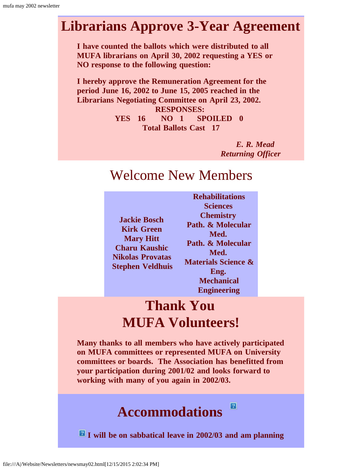### **Librarians Approve 3-Year Agreement**

**I have counted the ballots which were distributed to all MUFA librarians on April 30, 2002 requesting a YES or NO response to the following question:**

**I hereby approve the Remuneration Agreement for the period June 16, 2002 to June 15, 2005 reached in the Librarians Negotiating Committee on April 23, 2002. RESPONSES:**

> **YES 16 NO 1 SPOILED 0 Total Ballots Cast 17**

> > *E. R. Mead Returning Officer*

### Welcome New Members

| <b>Jackie Bosch</b>     |
|-------------------------|
| <b>Kirk Green</b>       |
| <b>Mary Hitt</b>        |
| <b>Charu Kaushic</b>    |
| <b>Nikolas Provatas</b> |
| <b>Stephen Veldhuis</b> |

**Rehabilitations Sciences Chemistry Path. & Molecular Med. Path. & Molecular Med. Materials Science & Eng. Mechanical Engineering**

 $|?|$ 

# **Thank You MUFA Volunteers!**

**Many thanks to all members who have actively participated on MUFA committees or represented MUFA on University committees or boards. The Association has benefitted from your participation during 2001/02 and looks forward to working with many of you again in 2002/03.**

### **Accommodations**

 $\blacksquare$  I will be on sabbatical leave in 2002/03 and am planning